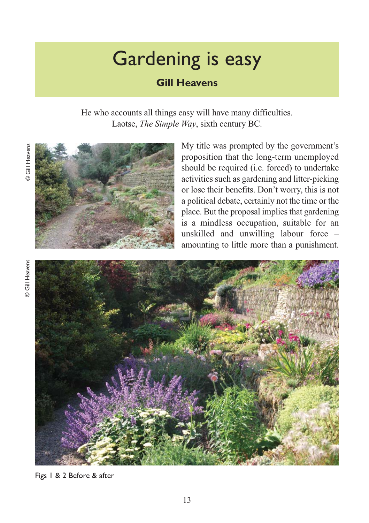# Gardening is easy

## **Gill Heavens**

He who accounts all things easy will have many difficulties. Laotse, *The Simple Way*, sixth century BC.



My title was prompted by the government's proposition that the long-term unemployed should be required (i.e. forced) to undertake activities such as gardening and litter-picking or lose their benefits. Don't worry, this is not a political debate, certainly not the time or the place. But the proposal implies that gardening is a mindless occupation, suitable for an unskilled and unwilling labour force – amounting to little more than a punishment.



Figs 1 & 2 Before & after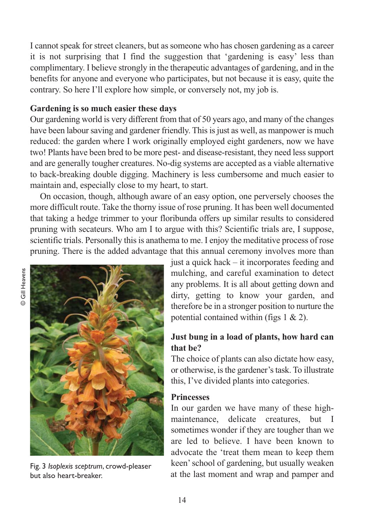I cannot speak for street cleaners, but as someone who has chosen gardening as a career it is not surprising that I find the suggestion that 'gardening is easy' less than complimentary. I believe strongly in the therapeutic advantages of gardening, and in the benefits for anyone and everyone who participates, but not because it is easy, quite the contrary. So here I'll explore how simple, or conversely not, my job is.

#### **Gardening is so much easier these days**

Our gardening world is very different from that of 50 years ago, and many of the changes have been labour saving and gardener friendly. This is just as well, as manpower is much reduced: the garden where I work originally employed eight gardeners, now we have two! Plants have been bred to be more pest- and disease-resistant, they need less support and are generally tougher creatures. No-dig systems are accepted as a viable alternative to back-breaking double digging. Machinery is less cumbersome and much easier to maintain and, especially close to my heart, to start.

On occasion, though, although aware of an easy option, one perversely chooses the more difficult route. Take the thorny issue of rose pruning. It has been well documented that taking a hedge trimmer to your floribunda offers up similar results to considered pruning with secateurs. Who am I to argue with this? Scientific trials are, I suppose, scientific trials. Personally this is anathema to me. I enjoy the meditative process of rose pruning. There is the added advantage that this annual ceremony involves more than



Fig. 3 *Isoplexis sceptrum*, crowd-pleaser but also heart-breaker.

just a quick hack – it incorporates feeding and mulching, and careful examination to detect any problems. It is all about getting down and dirty, getting to know your garden, and therefore be in a stronger position to nurture the potential contained within (figs 1 & 2).

## **Just bung in a load of plants, how hard can that be?**

The choice of plants can also dictate how easy, or otherwise, is the gardener's task. To illustrate this, I've divided plants into categories.

#### **Princesses**

In our garden we have many of these highmaintenance, delicate creatures, but I sometimes wonder if they are tougher than we are led to believe. I have been known to advocate the 'treat them mean to keep them keen' school of gardening, but usually weaken at the last moment and wrap and pamper and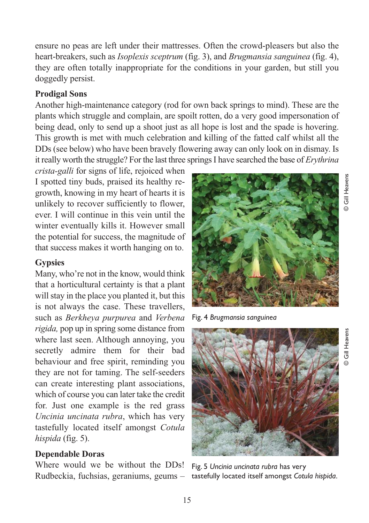© Gill Heavens **Gill Heavens** 

© Gill Heavens

ensure no peas are left under their mattresses. Often the crowd-pleasers but also the heart-breakers, such as *Isoplexis sceptrum* (fig. 3), and *Brugmansia sanguinea* (fig. 4), they are often totally inappropriate for the conditions in your garden, but still you doggedly persist.

## **Prodigal Sons**

Another high-maintenance category (rod for own back springs to mind). These are the plants which struggle and complain, are spoilt rotten, do a very good impersonation of being dead, only to send up a shoot just as all hope is lost and the spade is hovering. This growth is met with much celebration and killing of the fatted calf whilst all the DDs (see below) who have been bravely flowering away can only look on in dismay. Is it really worth the struggle? For the last three springs I have searched the base of *Erythrina*

*crista-galli* for signs of life, rejoiced when I spotted tiny buds, praised its healthy regrowth, knowing in my heart of hearts it is unlikely to recover sufficiently to flower, ever. I will continue in this vein until the winter eventually kills it. However small the potential for success, the magnitude of that success makes it worth hanging on to.

### **Gypsies**

Many, who're not in the know, would think that a horticultural certainty is that a plant will stay in the place you planted it, but this is not always the case. These travellers, such as *Berkheya purpurea* and *Verbena rigida,* pop up in spring some distance from where last seen. Although annoying, you secretly admire them for their bad behaviour and free spirit, reminding you they are not for taming. The self-seeders can create interesting plant associations, which of course you can later take the credit for. Just one example is the red grass *Uncinia uncinata rubra*, which has very tastefully located itself amongst *Cotula hispida* (fig. 5).

## **Dependable Doras**

Where would we be without the DDs!

Fig. 4 *Brugmansia sanguinea*





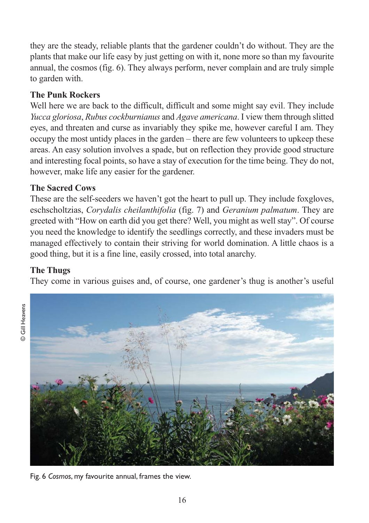they are the steady, reliable plants that the gardener couldn't do without. They are the plants that make our life easy by just getting on with it, none more so than my favourite annual, the cosmos (fig. 6). They always perform, never complain and are truly simple to garden with.

## **The Punk Rockers**

Well here we are back to the difficult, difficult and some might say evil. They include *Yucca gloriosa*, *Rubus cockburnianus* and *Agave americana*. I view them through slitted eyes, and threaten and curse as invariably they spike me, however careful I am. They occupy the most untidy places in the garden – there are few volunteers to upkeep these areas. An easy solution involves a spade, but on reflection they provide good structure and interesting focal points, so have a stay of execution for the time being. They do not, however, make life any easier for the gardener.

## **The Sacred Cows**

These are the self-seeders we haven't got the heart to pull up. They include foxgloves, eschscholtzias, *Corydalis cheilanthifolia* (fig. 7) and *Geranium palmatum*. They are greeted with "How on earth did you get there? Well, you might as well stay". Of course you need the knowledge to identify the seedlings correctly, and these invaders must be managed effectively to contain their striving for world domination. A little chaos is a good thing, but it is a fine line, easily crossed, into total anarchy.

## **The Thugs**

© Gill Heavens

They come in various guises and, of course, one gardener's thug is another's useful



Fig. 6 *Cosmos*, my favourite annual, frames the view.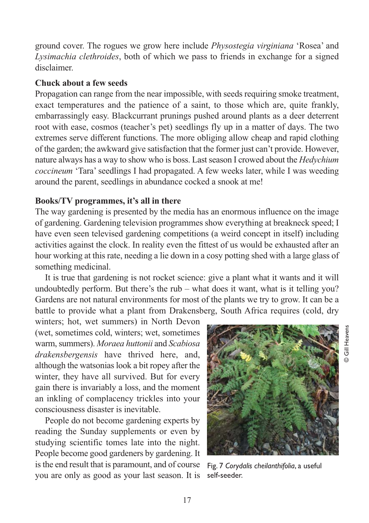ground cover. The rogues we grow here include *Physostegia virginiana* 'Rosea' and *Lysimachia clethroides*, both of which we pass to friends in exchange for a signed disclaimer.

#### **Chuck about a few seeds**

Propagation can range from the near impossible, with seeds requiring smoke treatment, exact temperatures and the patience of a saint, to those which are, quite frankly, embarrassingly easy. Blackcurrant prunings pushed around plants as a deer deterrent root with ease, cosmos (teacher's pet) seedlings fly up in a matter of days. The two extremes serve different functions. The more obliging allow cheap and rapid clothing of the garden; the awkward give satisfaction that the former just can't provide. However, nature always has a way to show who is boss. Last season I crowed about the *Hedychium coccineum* 'Tara' seedlings I had propagated. A few weeks later, while I was weeding around the parent, seedlings in abundance cocked a snook at me!

#### **Books/TV programmes, it's all in there**

The way gardening is presented by the media has an enormous influence on the image of gardening. Gardening television programmes show everything at breakneck speed; I have even seen televised gardening competitions (a weird concept in itself) including activities against the clock. In reality even the fittest of us would be exhausted after an hour working at this rate, needing a lie down in a cosy potting shed with a large glass of something medicinal.

It is true that gardening is not rocket science: give a plant what it wants and it will undoubtedly perform. But there's the rub – what does it want, what is it telling you? Gardens are not natural environments for most of the plants we try to grow. It can be a battle to provide what a plant from Drakensberg, South Africa requires (cold, dry

winters; hot, wet summers) in North Devon (wet, sometimes cold, winters; wet, sometimes warm, summers). *Moraea huttonii* and *Scabiosa drakensbergensis* have thrived here, and, although the watsonias look a bit ropey after the winter, they have all survived. But for every gain there is invariably a loss, and the moment an inkling of complacency trickles into your consciousness disaster is inevitable.

People do not become gardening experts by reading the Sunday supplements or even by studying scientific tomes late into the night. People become good gardeners by gardening. It is the end result that is paramount, and of course you are only as good as your last season. It is



Fig. 7 *Corydalis cheilanthifolia*, a useful self-seeder.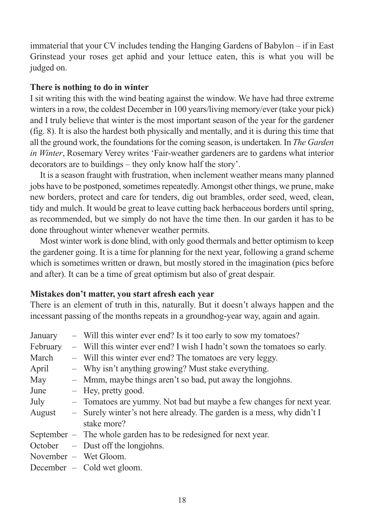immaterial that your CV includes tending the Hanging Gardens of Babylon – if in East Grinstead your roses get aphid and your lettuce eaten, this is what you will be judged on.

#### **There is nothing to do in winter**

I sit writing this with the wind beating against the window. We have had three extreme winters in a row, the coldest December in 100 years/living memory/ever (take your pick) and I truly believe that winter is the most important season of the year for the gardener (fig. 8). It is also the hardest both physically and mentally, and it is during this time that all the ground work, the foundations for the coming season, is undertaken. In *The Garden in Winter*, Rosemary Verey writes 'Fair-weather gardeners are to gardens what interior decorators are to buildings – they only know half the story'.

It is a season fraught with frustration, when inclement weather means many planned jobs have to be postponed, sometimes repeatedly. Amongst other things, we prune, make new borders, protect and care for tenders, dig out brambles, order seed, weed, clean, tidy and mulch. It would be great to leave cutting back herbaceous borders until spring, as recommended, but we simply do not have the time then. In our garden it has to be done throughout winter whenever weather permits.

Most winter work is done blind, with only good thermals and better optimism to keep the gardener going. It is a time for planning for the next year, following a grand scheme which is sometimes written or drawn, but mostly stored in the imagination (pics before and after). It can be a time of great optimism but also of great despair.

#### **Mistakes don't matter, you start afresh each year**

There is an element of truth in this, naturally. But it doesn't always happen and the incessant passing of the months repeats in a groundhog-year way, again and again.

| January  | - Will this winter ever end? Is it too early to sow my tomatoes?         |
|----------|--------------------------------------------------------------------------|
| February | - Will this winter ever end? I wish I hadn't sown the tomatoes so early. |
| March    | - Will this winter ever end? The tomatoes are very leggy.                |
| April    | - Why isn't anything growing? Must stake everything.                     |
| May      | - Mmm, maybe things aren't so bad, put away the long johns.              |
| June     | $-$ Hey, pretty good.                                                    |
| July     | - Tomatoes are yummy. Not bad but maybe a few changes for next year.     |
| August   | - Surely winter's not here already. The garden is a mess, why didn't I   |
|          | stake more?                                                              |
|          | September – The whole garden has to be redesigned for next year.         |
|          | October – Dust off the long johns.                                       |
|          | November – Wet Gloom.                                                    |
|          | December $-$ Cold wet gloom.                                             |
|          |                                                                          |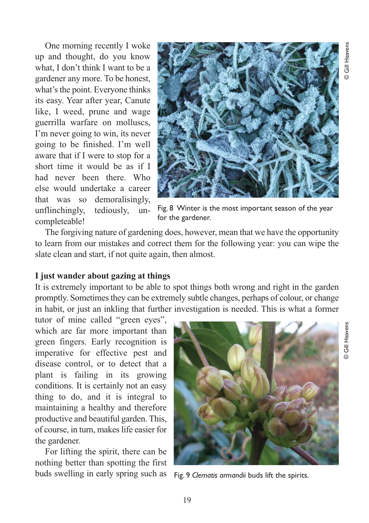One morning recently I woke up and thought, do you know what, I don't think I want to be a gardener any more. To be honest, what's the point. Everyone thinks its easy. Year after year, Canute like, I weed, prune and wage guerrilla warfare on molluscs, I'm never going to win, its never going to be finished. I'm well aware that if I were to stop for a short time it would be as if I had never been there. Who else would undertake a career that was so demoralisingly, unflinchingly, tediously, uncompleteable!



Fig. 8 Winter is the most important season of the year for the gardener.

The forgiving nature of gardening does, however, mean that we have the opportunity to learn from our mistakes and correct them for the following year: you can wipe the slate clean and start, if not quite again, then almost.

#### **I just wander about gazing at things**

It is extremely important to be able to spot things both wrong and right in the garden promptly. Sometimes they can be extremely subtle changes, perhaps of colour, or change in habit, or just an inkling that further investigation is needed. This is what a former

tutor of mine called "green eyes", which are far more important than green fingers. Early recognition is imperative for effective pest and disease control, or to detect that a plant is failing in its growing conditions. It is certainly not an easy thing to do, and it is integral to maintaining a healthy and therefore productive and beautiful garden. This, of course, in turn, makes life easier for the gardener.

For lifting the spirit, there can be nothing better than spotting the first buds swelling in early spring such as



Fig. 9 *Clematis armandii* buds lift the spirits.